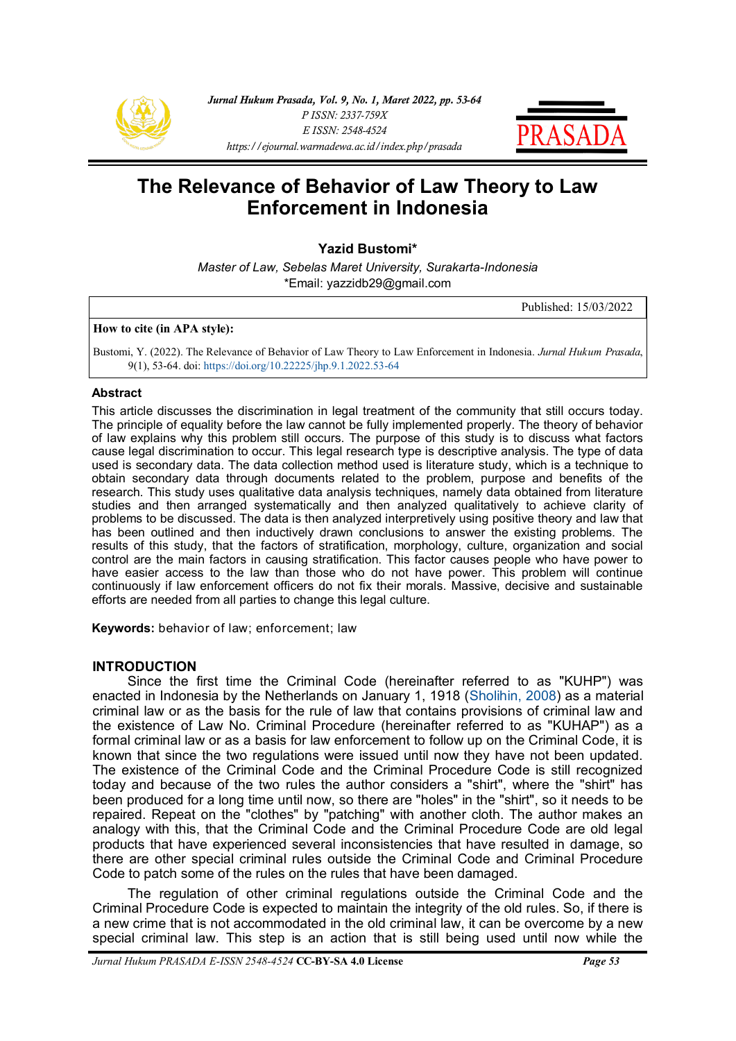



# **The Relevance of Behavior of Law Theory to Law Enforcement in Indonesia**

**Yazid Bustomi\***

*Master of Law, Sebelas Maret University, Surakarta-Indonesia* \*Email: yazzidb29@gmail.com

Published: 15/03/2022

## **How to cite (in APA style):**

Bustomi, Y. (2022). The Relevance of Behavior of Law Theory to Law Enforcement in Indonesia. *Jurnal Hukum Prasada*, 9(1), 53-64. doi: [https://doi.org/10.22225/jhp.9.1.2022.53](https://ejournal.warmadewa.ac.id/index.php/prasada/article/view/4338)-64

#### **Abstract**

This article discusses the discrimination in legal treatment of the community that still occurs today. The principle of equality before the law cannot be fully implemented properly. The theory of behavior of law explains why this problem still occurs. The purpose of this study is to discuss what factors cause legal discrimination to occur. This legal research type is descriptive analysis. The type of data used is secondary data. The data collection method used is literature study, which is a technique to obtain secondary data through documents related to the problem, purpose and benefits of the research. This study uses qualitative data analysis techniques, namely data obtained from literature studies and then arranged systematically and then analyzed qualitatively to achieve clarity of problems to be discussed. The data is then analyzed interpretively using positive theory and law that has been outlined and then inductively drawn conclusions to answer the existing problems. The results of this study, that the factors of stratification, morphology, culture, organization and social control are the main factors in causing stratification. This factor causes people who have power to have easier access to the law than those who do not have power. This problem will continue continuously if law enforcement officers do not fix their morals. Massive, decisive and sustainable efforts are needed from all parties to change this legal culture.

**Keywords:** behavior of law; enforcement; law

## **INTRODUCTION**

Since the first time the Criminal Code (hereinafter referred to as "KUHP") was enacted in Indonesia by the Netherlands on January 1, 1918 ([Sholihin, 2008\)](#page-10-0) as a material criminal law or as the basis for the rule of law that contains provisions of criminal law and the existence of Law No. Criminal Procedure (hereinafter referred to as "KUHAP") as a formal criminal law or as a basis for law enforcement to follow up on the Criminal Code, it is known that since the two regulations were issued until now they have not been updated. The existence of the Criminal Code and the Criminal Procedure Code is still recognized today and because of the two rules the author considers a "shirt", where the "shirt" has been produced for a long time until now, so there are "holes" in the "shirt", so it needs to be repaired. Repeat on the "clothes" by "patching" with another cloth. The author makes an analogy with this, that the Criminal Code and the Criminal Procedure Code are old legal products that have experienced several inconsistencies that have resulted in damage, so there are other special criminal rules outside the Criminal Code and Criminal Procedure Code to patch some of the rules on the rules that have been damaged.

The regulation of other criminal regulations outside the Criminal Code and the Criminal Procedure Code is expected to maintain the integrity of the old rules. So, if there is a new crime that is not accommodated in the old criminal law, it can be overcome by a new special criminal law. This step is an action that is still being used until now while the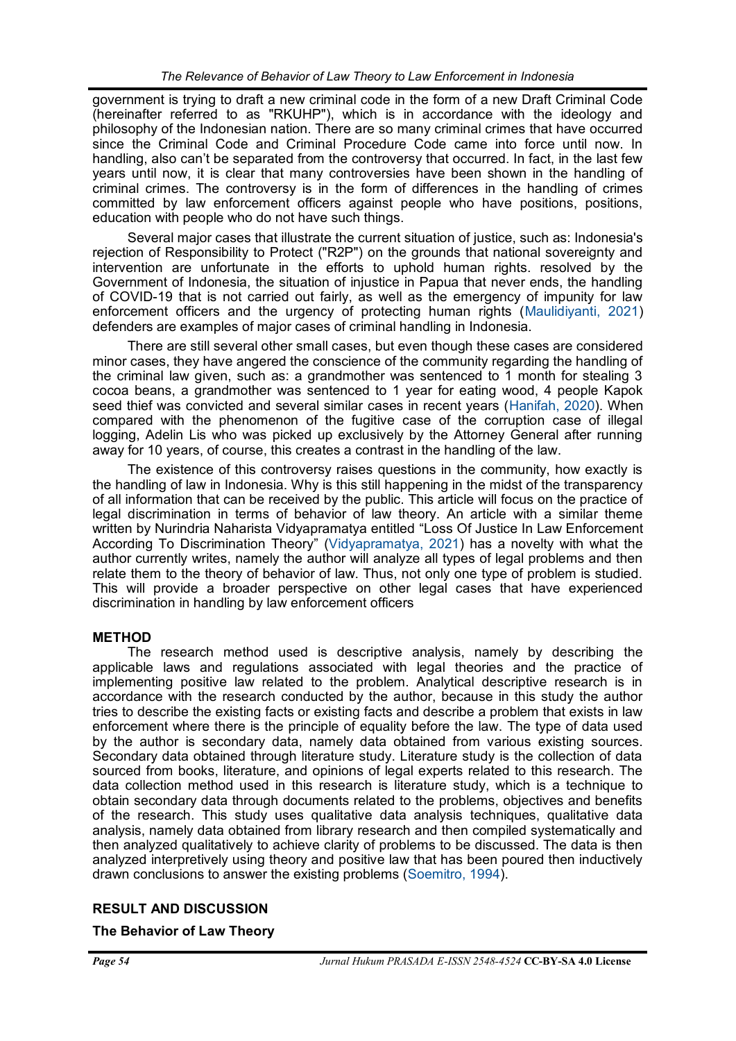government is trying to draft a new criminal code in the form of a new Draft Criminal Code (hereinafter referred to as "RKUHP"), which is in accordance with the ideology and philosophy of the Indonesian nation. There are so many criminal crimes that have occurred since the Criminal Code and Criminal Procedure Code came into force until now. In handling, also can't be separated from the controversy that occurred. In fact, in the last few years until now, it is clear that many controversies have been shown in the handling of criminal crimes. The controversy is in the form of differences in the handling of crimes committed by law enforcement officers against people who have positions, positions, education with people who do not have such things.

Several major cases that illustrate the current situation of justice, such as: Indonesia's rejection of Responsibility to Protect ("R2P") on the grounds that national sovereignty and intervention are unfortunate in the efforts to uphold human rights. resolved by the Government of Indonesia, the situation of injustice in Papua that never ends, the handling of COVID-19 that is not carried out fairly, as well as the emergency of impunity for law enforcement officers and the urgency of protecting human rights ([Maulidiyanti, 2021\)](#page-10-0)  defenders are examples of major cases of criminal handling in Indonesia.

There are still several other small cases, but even though these cases are considered minor cases, they have angered the conscience of the community regarding the handling of the criminal law given, such as: a grandmother was sentenced to 1 month for stealing 3 cocoa beans, a grandmother was sentenced to 1 year for eating wood, 4 people Kapok seed thief was convicted and several similar cases in recent years ([Hanifah, 2020\).](#page-10-0) When compared with the phenomenon of the fugitive case of the corruption case of illegal logging, Adelin Lis who was picked up exclusively by the Attorney General after running away for 10 years, of course, this creates a contrast in the handling of the law.

The existence of this controversy raises questions in the community, how exactly is the handling of law in Indonesia. Why is this still happening in the midst of the transparency of all information that can be received by the public. This article will focus on the practice of legal discrimination in terms of behavior of law theory. An article with a similar theme written by Nurindria Naharista Vidyapramatya entitled "Loss Of Justice In Law Enforcement According To Discrimination Theory" ([Vidyapramatya, 2021\)](#page-10-0) has a novelty with what the author currently writes, namely the author will analyze all types of legal problems and then relate them to the theory of behavior of law. Thus, not only one type of problem is studied. This will provide a broader perspective on other legal cases that have experienced discrimination in handling by law enforcement officers

# **METHOD**

The research method used is descriptive analysis, namely by describing the applicable laws and regulations associated with legal theories and the practice of implementing positive law related to the problem. Analytical descriptive research is in accordance with the research conducted by the author, because in this study the author tries to describe the existing facts or existing facts and describe a problem that exists in law enforcement where there is the principle of equality before the law. The type of data used by the author is secondary data, namely data obtained from various existing sources. Secondary data obtained through literature study. Literature study is the collection of data sourced from books, literature, and opinions of legal experts related to this research. The data collection method used in this research is literature study, which is a technique to obtain secondary data through documents related to the problems, objectives and benefits of the research. This study uses qualitative data analysis techniques, qualitative data analysis, namely data obtained from library research and then compiled systematically and then analyzed qualitatively to achieve clarity of problems to be discussed. The data is then analyzed interpretively using theory and positive law that has been poured then inductively drawn conclusions to answer the existing problems ([Soemitro, 1994\)](#page-10-0).

# **RESULT AND DISCUSSION**

# **The Behavior of Law Theory**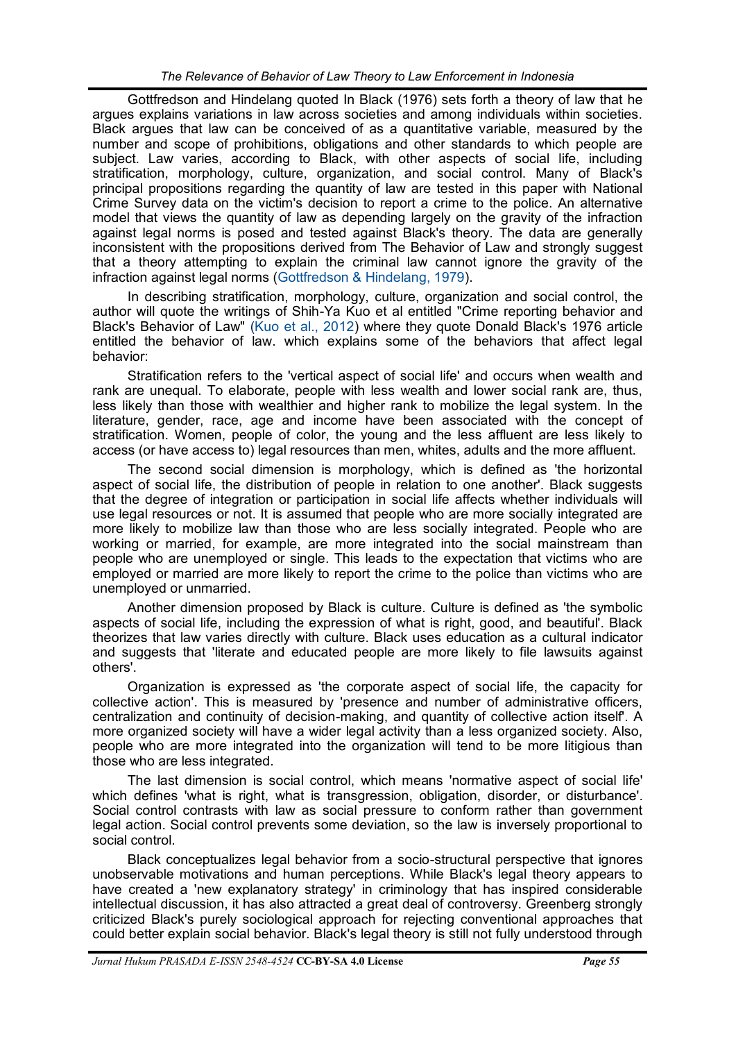Gottfredson and Hindelang quoted In Black (1976) sets forth a theory of law that he argues explains variations in law across societies and among individuals within societies. Black argues that law can be conceived of as a quantitative variable, measured by the number and scope of prohibitions, obligations and other standards to which people are subject. Law varies, according to Black, with other aspects of social life, including stratification, morphology, culture, organization, and social control. Many of Black's principal propositions regarding the quantity of law are tested in this paper with National Crime Survey data on the victim's decision to report a crime to the police. An alternative model that views the quantity of law as depending largely on the gravity of the infraction against legal norms is posed and tested against Black's theory. The data are generally inconsistent with the propositions derived from The Behavior of Law and strongly suggest that a theory attempting to explain the criminal law cannot ignore the gravity of the infraction against legal norms ([Gottfredson & Hindelang, 1979\).](#page-10-0)

In describing stratification, morphology, culture, organization and social control, the author will quote the writings of Shih-Ya Kuo et al entitled "Crime reporting behavior and Black's Behavior of Law" [\(Kuo et al., 2012\)](#page-10-0) where they quote Donald Black's 1976 article entitled the behavior of law. which explains some of the behaviors that affect legal behavior:

Stratification refers to the 'vertical aspect of social life' and occurs when wealth and rank are unequal. To elaborate, people with less wealth and lower social rank are, thus, less likely than those with wealthier and higher rank to mobilize the legal system. In the literature, gender, race, age and income have been associated with the concept of stratification. Women, people of color, the young and the less affluent are less likely to access (or have access to) legal resources than men, whites, adults and the more affluent.

The second social dimension is morphology, which is defined as 'the horizontal aspect of social life, the distribution of people in relation to one another'. Black suggests that the degree of integration or participation in social life affects whether individuals will use legal resources or not. It is assumed that people who are more socially integrated are more likely to mobilize law than those who are less socially integrated. People who are working or married, for example, are more integrated into the social mainstream than people who are unemployed or single. This leads to the expectation that victims who are employed or married are more likely to report the crime to the police than victims who are unemployed or unmarried.

Another dimension proposed by Black is culture. Culture is defined as 'the symbolic aspects of social life, including the expression of what is right, good, and beautiful'. Black theorizes that law varies directly with culture. Black uses education as a cultural indicator and suggests that 'literate and educated people are more likely to file lawsuits against others'.

Organization is expressed as 'the corporate aspect of social life, the capacity for collective action'. This is measured by 'presence and number of administrative officers, centralization and continuity of decision-making, and quantity of collective action itself'. A more organized society will have a wider legal activity than a less organized society. Also, people who are more integrated into the organization will tend to be more litigious than those who are less integrated.

The last dimension is social control, which means 'normative aspect of social life' which defines 'what is right, what is transgression, obligation, disorder, or disturbance'. Social control contrasts with law as social pressure to conform rather than government legal action. Social control prevents some deviation, so the law is inversely proportional to social control.

Black conceptualizes legal behavior from a socio-structural perspective that ignores unobservable motivations and human perceptions. While Black's legal theory appears to have created a 'new explanatory strategy' in criminology that has inspired considerable intellectual discussion, it has also attracted a great deal of controversy. Greenberg strongly criticized Black's purely sociological approach for rejecting conventional approaches that could better explain social behavior. Black's legal theory is still not fully understood through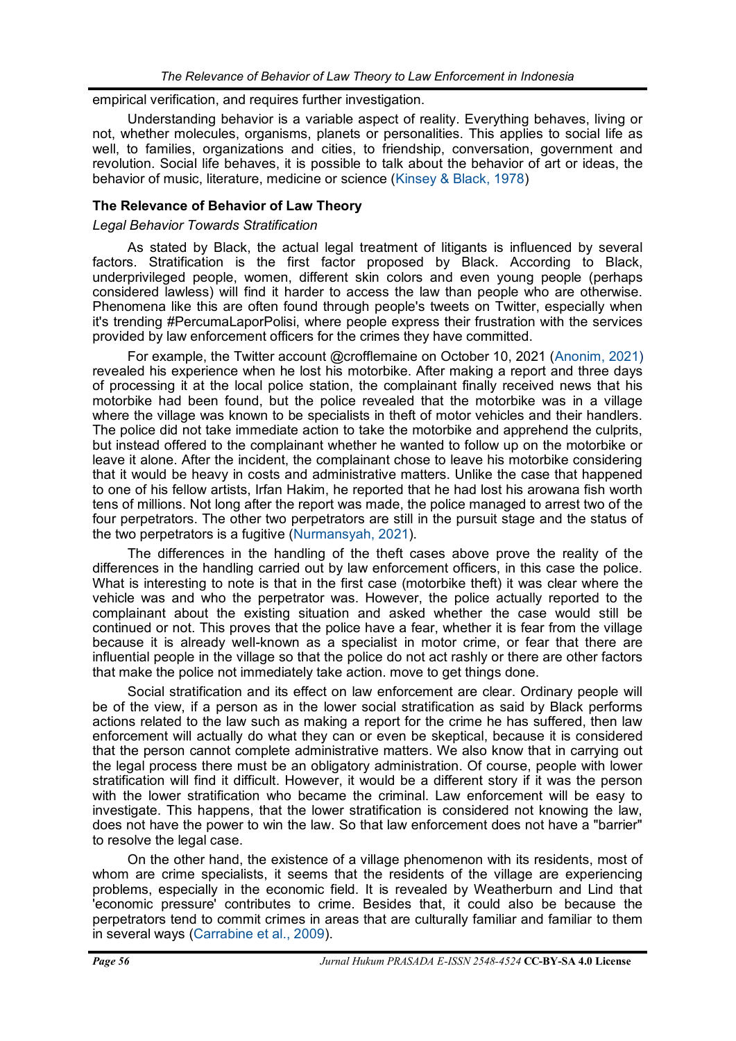empirical verification, and requires further investigation.

Understanding behavior is a variable aspect of reality. Everything behaves, living or not, whether molecules, organisms, planets or personalities. This applies to social life as well, to families, organizations and cities, to friendship, conversation, government and revolution. Social life behaves, it is possible to talk about the behavior of art or ideas, the behavior of music, literature, medicine or science ([Kinsey & Black, 1978\)](#page-10-0)

# **The Relevance of Behavior of Law Theory**

# *Legal Behavior Towards Stratification*

As stated by Black, the actual legal treatment of litigants is influenced by several factors. Stratification is the first factor proposed by Black. According to Black, underprivileged people, women, different skin colors and even young people (perhaps considered lawless) will find it harder to access the law than people who are otherwise. Phenomena like this are often found through people's tweets on Twitter, especially when it's trending #PercumaLaporPolisi, where people express their frustration with the services provided by law enforcement officers for the crimes they have committed.

For example, the Twitter account @crofflemaine on October 10, 2021 ([Anonim, 2021\)](#page-10-0) revealed his experience when he lost his motorbike. After making a report and three days of processing it at the local police station, the complainant finally received news that his motorbike had been found, but the police revealed that the motorbike was in a village where the village was known to be specialists in theft of motor vehicles and their handlers. The police did not take immediate action to take the motorbike and apprehend the culprits, but instead offered to the complainant whether he wanted to follow up on the motorbike or leave it alone. After the incident, the complainant chose to leave his motorbike considering that it would be heavy in costs and administrative matters. Unlike the case that happened to one of his fellow artists, Irfan Hakim, he reported that he had lost his arowana fish worth tens of millions. Not long after the report was made, the police managed to arrest two of the four perpetrators. The other two perpetrators are still in the pursuit stage and the status of the two perpetrators is a fugitive [\(Nurmansyah, 2021\)](#page-10-0).

The differences in the handling of the theft cases above prove the reality of the differences in the handling carried out by law enforcement officers, in this case the police. What is interesting to note is that in the first case (motorbike theft) it was clear where the vehicle was and who the perpetrator was. However, the police actually reported to the complainant about the existing situation and asked whether the case would still be continued or not. This proves that the police have a fear, whether it is fear from the village because it is already well-known as a specialist in motor crime, or fear that there are influential people in the village so that the police do not act rashly or there are other factors that make the police not immediately take action. move to get things done.

Social stratification and its effect on law enforcement are clear. Ordinary people will be of the view, if a person as in the lower social stratification as said by Black performs actions related to the law such as making a report for the crime he has suffered, then law enforcement will actually do what they can or even be skeptical, because it is considered that the person cannot complete administrative matters. We also know that in carrying out the legal process there must be an obligatory administration. Of course, people with lower stratification will find it difficult. However, it would be a different story if it was the person with the lower stratification who became the criminal. Law enforcement will be easy to investigate. This happens, that the lower stratification is considered not knowing the law, does not have the power to win the law. So that law enforcement does not have a "barrier" to resolve the legal case.

On the other hand, the existence of a village phenomenon with its residents, most of whom are crime specialists, it seems that the residents of the village are experiencing problems, especially in the economic field. It is revealed by Weatherburn and Lind that 'economic pressure' contributes to crime. Besides that, it could also be because the perpetrators tend to commit crimes in areas that are culturally familiar and familiar to them in several ways ([Carrabine et al., 2009\)](#page-10-0).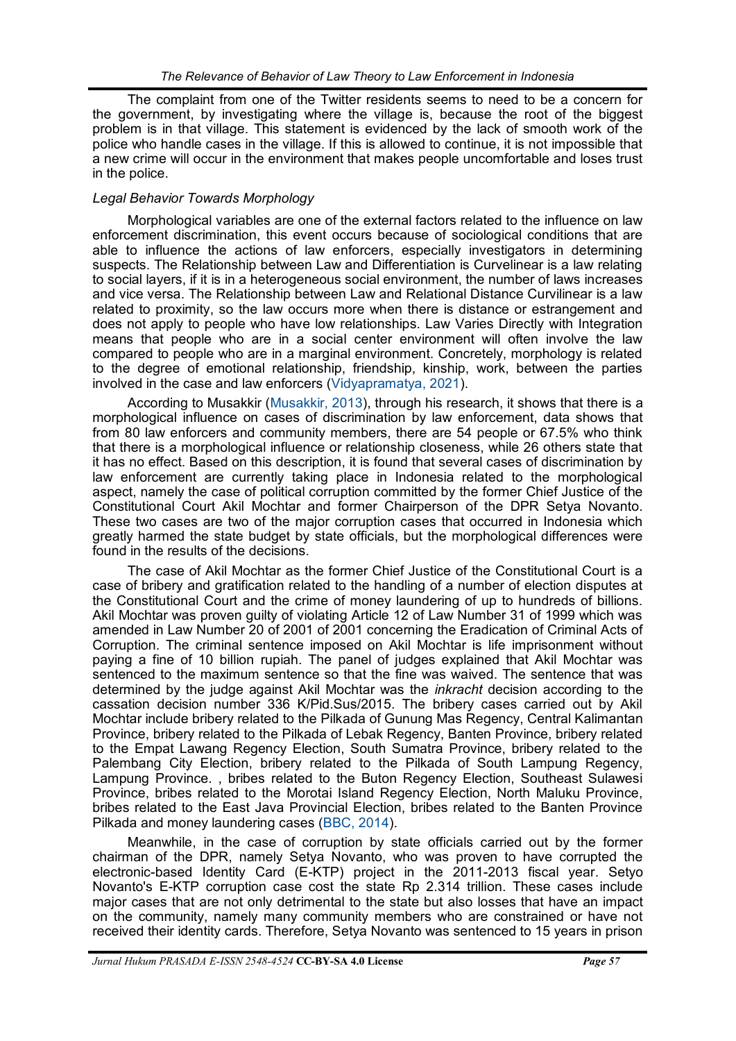The complaint from one of the Twitter residents seems to need to be a concern for the government, by investigating where the village is, because the root of the biggest problem is in that village. This statement is evidenced by the lack of smooth work of the police who handle cases in the village. If this is allowed to continue, it is not impossible that a new crime will occur in the environment that makes people uncomfortable and loses trust in the police.

# *Legal Behavior Towards Morphology*

Morphological variables are one of the external factors related to the influence on law enforcement discrimination, this event occurs because of sociological conditions that are able to influence the actions of law enforcers, especially investigators in determining suspects. The Relationship between Law and Differentiation is Curvelinear is a law relating to social layers, if it is in a heterogeneous social environment, the number of laws increases and vice versa. The Relationship between Law and Relational Distance Curvilinear is a law related to proximity, so the law occurs more when there is distance or estrangement and does not apply to people who have low relationships. Law Varies Directly with Integration means that people who are in a social center environment will often involve the law compared to people who are in a marginal environment. Concretely, morphology is related to the degree of emotional relationship, friendship, kinship, work, between the parties involved in the case and law enforcers ([Vidyapramatya, 2021\).](#page-10-0)

According to Musakkir ([Musakkir, 2013\)](#page-10-0), through his research, it shows that there is a morphological influence on cases of discrimination by law enforcement, data shows that from 80 law enforcers and community members, there are 54 people or 67.5% who think that there is a morphological influence or relationship closeness, while 26 others state that it has no effect. Based on this description, it is found that several cases of discrimination by law enforcement are currently taking place in Indonesia related to the morphological aspect, namely the case of political corruption committed by the former Chief Justice of the Constitutional Court Akil Mochtar and former Chairperson of the DPR Setya Novanto. These two cases are two of the major corruption cases that occurred in Indonesia which greatly harmed the state budget by state officials, but the morphological differences were found in the results of the decisions.

The case of Akil Mochtar as the former Chief Justice of the Constitutional Court is a case of bribery and gratification related to the handling of a number of election disputes at the Constitutional Court and the crime of money laundering of up to hundreds of billions. Akil Mochtar was proven guilty of violating Article 12 of Law Number 31 of 1999 which was amended in Law Number 20 of 2001 of 2001 concerning the Eradication of Criminal Acts of Corruption. The criminal sentence imposed on Akil Mochtar is life imprisonment without paying a fine of 10 billion rupiah. The panel of judges explained that Akil Mochtar was sentenced to the maximum sentence so that the fine was waived. The sentence that was determined by the judge against Akil Mochtar was the *inkracht* decision according to the cassation decision number 336 K/Pid.Sus/2015. The bribery cases carried out by Akil Mochtar include bribery related to the Pilkada of Gunung Mas Regency, Central Kalimantan Province, bribery related to the Pilkada of Lebak Regency, Banten Province, bribery related to the Empat Lawang Regency Election, South Sumatra Province, bribery related to the Palembang City Election, bribery related to the Pilkada of South Lampung Regency, Lampung Province. , bribes related to the Buton Regency Election, Southeast Sulawesi Province, bribes related to the Morotai Island Regency Election, North Maluku Province, bribes related to the East Java Provincial Election, bribes related to the Banten Province Pilkada and money laundering cases ([BBC, 2014\).](#page-10-0)

Meanwhile, in the case of corruption by state officials carried out by the former chairman of the DPR, namely Setya Novanto, who was proven to have corrupted the electronic-based Identity Card (E-KTP) project in the 2011-2013 fiscal year. Setyo Novanto's E-KTP corruption case cost the state Rp 2.314 trillion. These cases include major cases that are not only detrimental to the state but also losses that have an impact on the community, namely many community members who are constrained or have not received their identity cards. Therefore, Setya Novanto was sentenced to 15 years in prison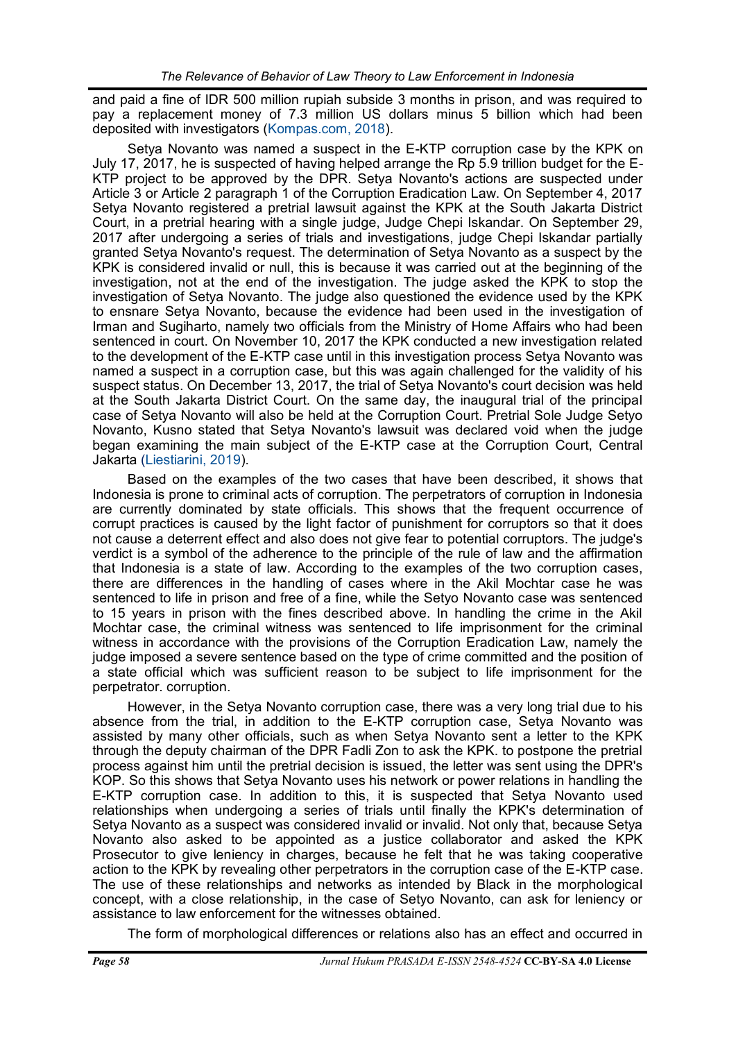and paid a fine of IDR 500 million rupiah subside 3 months in prison, and was required to pay a replacement money of 7.3 million US dollars minus 5 billion which had been deposited with investigators ([Kompas.com, 2018\)](#page-10-0).

Setya Novanto was named a suspect in the E-KTP corruption case by the KPK on July 17, 2017, he is suspected of having helped arrange the Rp 5.9 trillion budget for the E-KTP project to be approved by the DPR. Setya Novanto's actions are suspected under Article 3 or Article 2 paragraph 1 of the Corruption Eradication Law. On September 4, 2017 Setya Novanto registered a pretrial lawsuit against the KPK at the South Jakarta District Court, in a pretrial hearing with a single judge, Judge Chepi Iskandar. On September 29, 2017 after undergoing a series of trials and investigations, judge Chepi Iskandar partially granted Setya Novanto's request. The determination of Setya Novanto as a suspect by the KPK is considered invalid or null, this is because it was carried out at the beginning of the investigation, not at the end of the investigation. The judge asked the KPK to stop the investigation of Setya Novanto. The judge also questioned the evidence used by the KPK to ensnare Setya Novanto, because the evidence had been used in the investigation of Irman and Sugiharto, namely two officials from the Ministry of Home Affairs who had been sentenced in court. On November 10, 2017 the KPK conducted a new investigation related to the development of the E-KTP case until in this investigation process Setya Novanto was named a suspect in a corruption case, but this was again challenged for the validity of his suspect status. On December 13, 2017, the trial of Setya Novanto's court decision was held at the South Jakarta District Court. On the same day, the inaugural trial of the principal case of Setya Novanto will also be held at the Corruption Court. Pretrial Sole Judge Setyo Novanto, Kusno stated that Setya Novanto's lawsuit was declared void when the judge began examining the main subject of the E-KTP case at the Corruption Court, Central Jakarta ([Liestiarini, 2019\)](#page-10-0).

Based on the examples of the two cases that have been described, it shows that Indonesia is prone to criminal acts of corruption. The perpetrators of corruption in Indonesia are currently dominated by state officials. This shows that the frequent occurrence of corrupt practices is caused by the light factor of punishment for corruptors so that it does not cause a deterrent effect and also does not give fear to potential corruptors. The judge's verdict is a symbol of the adherence to the principle of the rule of law and the affirmation that Indonesia is a state of law. According to the examples of the two corruption cases, there are differences in the handling of cases where in the Akil Mochtar case he was sentenced to life in prison and free of a fine, while the Setyo Novanto case was sentenced to 15 years in prison with the fines described above. In handling the crime in the Akil Mochtar case, the criminal witness was sentenced to life imprisonment for the criminal witness in accordance with the provisions of the Corruption Eradication Law, namely the judge imposed a severe sentence based on the type of crime committed and the position of a state official which was sufficient reason to be subject to life imprisonment for the perpetrator. corruption.

However, in the Setya Novanto corruption case, there was a very long trial due to his absence from the trial, in addition to the E-KTP corruption case, Setya Novanto was assisted by many other officials, such as when Setya Novanto sent a letter to the KPK through the deputy chairman of the DPR Fadli Zon to ask the KPK. to postpone the pretrial process against him until the pretrial decision is issued, the letter was sent using the DPR's KOP. So this shows that Setya Novanto uses his network or power relations in handling the E-KTP corruption case. In addition to this, it is suspected that Setya Novanto used relationships when undergoing a series of trials until finally the KPK's determination of Setya Novanto as a suspect was considered invalid or invalid. Not only that, because Setya Novanto also asked to be appointed as a justice collaborator and asked the KPK Prosecutor to give leniency in charges, because he felt that he was taking cooperative action to the KPK by revealing other perpetrators in the corruption case of the E-KTP case. The use of these relationships and networks as intended by Black in the morphological concept, with a close relationship, in the case of Setyo Novanto, can ask for leniency or assistance to law enforcement for the witnesses obtained.

The form of morphological differences or relations also has an effect and occurred in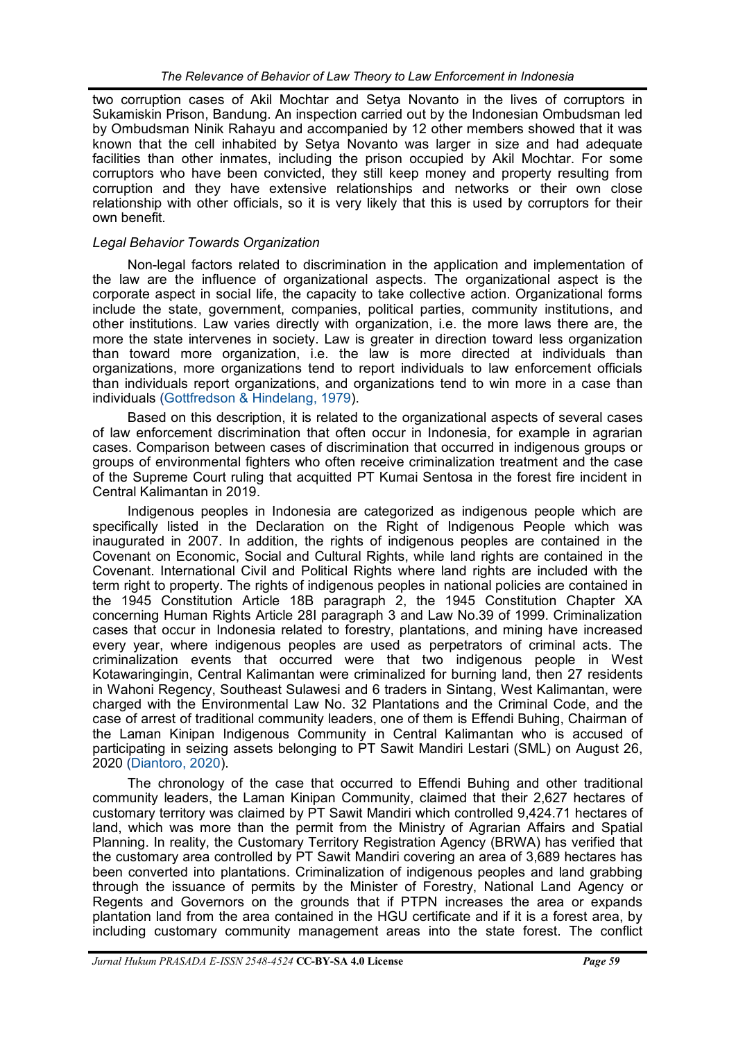two corruption cases of Akil Mochtar and Setya Novanto in the lives of corruptors in Sukamiskin Prison, Bandung. An inspection carried out by the Indonesian Ombudsman led by Ombudsman Ninik Rahayu and accompanied by 12 other members showed that it was known that the cell inhabited by Setya Novanto was larger in size and had adequate facilities than other inmates, including the prison occupied by Akil Mochtar. For some corruptors who have been convicted, they still keep money and property resulting from corruption and they have extensive relationships and networks or their own close relationship with other officials, so it is very likely that this is used by corruptors for their own benefit.

# *Legal Behavior Towards Organization*

Non-legal factors related to discrimination in the application and implementation of the law are the influence of organizational aspects. The organizational aspect is the corporate aspect in social life, the capacity to take collective action. Organizational forms include the state, government, companies, political parties, community institutions, and other institutions. Law varies directly with organization, i.e. the more laws there are, the more the state intervenes in society. Law is greater in direction toward less organization than toward more organization, i.e. the law is more directed at individuals than organizations, more organizations tend to report individuals to law enforcement officials than individuals report organizations, and organizations tend to win more in a case than individuals ([Gottfredson & Hindelang, 1979\).](#page-10-0)

Based on this description, it is related to the organizational aspects of several cases of law enforcement discrimination that often occur in Indonesia, for example in agrarian cases. Comparison between cases of discrimination that occurred in indigenous groups or groups of environmental fighters who often receive criminalization treatment and the case of the Supreme Court ruling that acquitted PT Kumai Sentosa in the forest fire incident in Central Kalimantan in 2019.

Indigenous peoples in Indonesia are categorized as indigenous people which are specifically listed in the Declaration on the Right of Indigenous People which was inaugurated in 2007. In addition, the rights of indigenous peoples are contained in the Covenant on Economic, Social and Cultural Rights, while land rights are contained in the Covenant. International Civil and Political Rights where land rights are included with the term right to property. The rights of indigenous peoples in national policies are contained in the 1945 Constitution Article 18B paragraph 2, the 1945 Constitution Chapter XA concerning Human Rights Article 28I paragraph 3 and Law No.39 of 1999. Criminalization cases that occur in Indonesia related to forestry, plantations, and mining have increased every year, where indigenous peoples are used as perpetrators of criminal acts. The criminalization events that occurred were that two indigenous people in West Kotawaringingin, Central Kalimantan were criminalized for burning land, then 27 residents in Wahoni Regency, Southeast Sulawesi and 6 traders in Sintang, West Kalimantan, were charged with the Environmental Law No. 32 Plantations and the Criminal Code, and the case of arrest of traditional community leaders, one of them is Effendi Buhing, Chairman of the Laman Kinipan Indigenous Community in Central Kalimantan who is accused of participating in seizing assets belonging to PT Sawit Mandiri Lestari (SML) on August 26, 2020 [\(Diantoro, 2020\)](#page-10-0).

The chronology of the case that occurred to Effendi Buhing and other traditional community leaders, the Laman Kinipan Community, claimed that their 2,627 hectares of customary territory was claimed by PT Sawit Mandiri which controlled 9,424.71 hectares of land, which was more than the permit from the Ministry of Agrarian Affairs and Spatial Planning. In reality, the Customary Territory Registration Agency (BRWA) has verified that the customary area controlled by PT Sawit Mandiri covering an area of 3,689 hectares has been converted into plantations. Criminalization of indigenous peoples and land grabbing through the issuance of permits by the Minister of Forestry, National Land Agency or Regents and Governors on the grounds that if PTPN increases the area or expands plantation land from the area contained in the HGU certificate and if it is a forest area, by including customary community management areas into the state forest. The conflict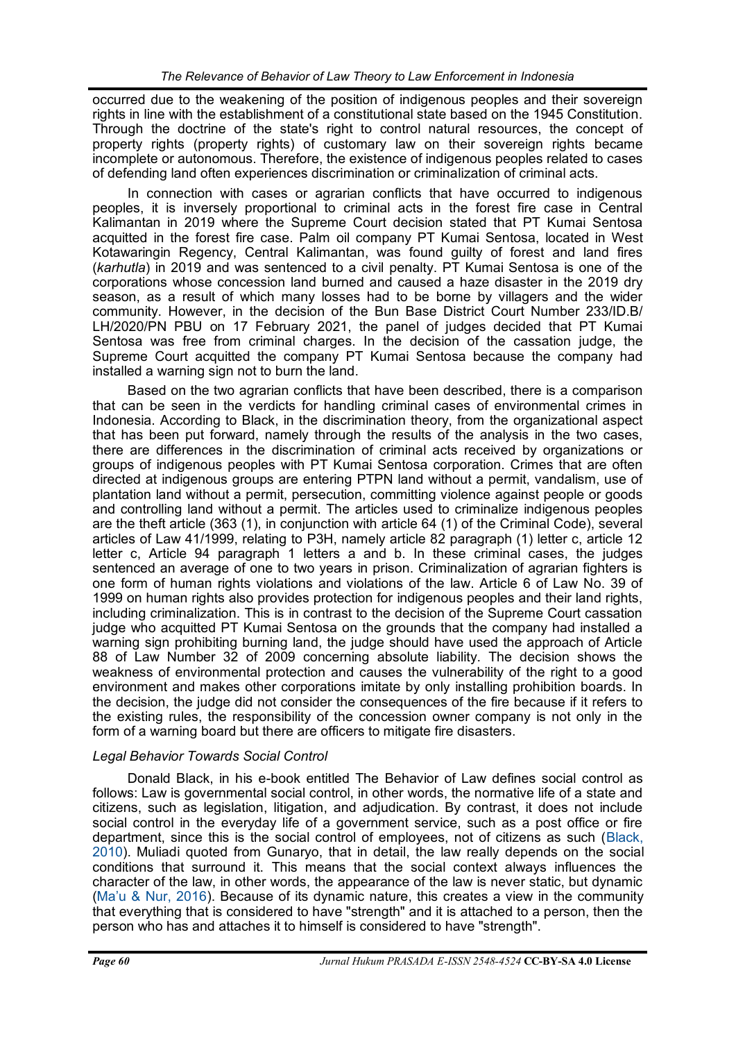occurred due to the weakening of the position of indigenous peoples and their sovereign rights in line with the establishment of a constitutional state based on the 1945 Constitution. Through the doctrine of the state's right to control natural resources, the concept of property rights (property rights) of customary law on their sovereign rights became incomplete or autonomous. Therefore, the existence of indigenous peoples related to cases of defending land often experiences discrimination or criminalization of criminal acts.

In connection with cases or agrarian conflicts that have occurred to indigenous peoples, it is inversely proportional to criminal acts in the forest fire case in Central Kalimantan in 2019 where the Supreme Court decision stated that PT Kumai Sentosa acquitted in the forest fire case. Palm oil company PT Kumai Sentosa, located in West Kotawaringin Regency, Central Kalimantan, was found guilty of forest and land fires (*karhutla*) in 2019 and was sentenced to a civil penalty. PT Kumai Sentosa is one of the corporations whose concession land burned and caused a haze disaster in the 2019 dry season, as a result of which many losses had to be borne by villagers and the wider community. However, in the decision of the Bun Base District Court Number 233/ID.B/ LH/2020/PN PBU on 17 February 2021, the panel of judges decided that PT Kumai Sentosa was free from criminal charges. In the decision of the cassation judge, the Supreme Court acquitted the company PT Kumai Sentosa because the company had installed a warning sign not to burn the land.

Based on the two agrarian conflicts that have been described, there is a comparison that can be seen in the verdicts for handling criminal cases of environmental crimes in Indonesia. According to Black, in the discrimination theory, from the organizational aspect that has been put forward, namely through the results of the analysis in the two cases, there are differences in the discrimination of criminal acts received by organizations or groups of indigenous peoples with PT Kumai Sentosa corporation. Crimes that are often directed at indigenous groups are entering PTPN land without a permit, vandalism, use of plantation land without a permit, persecution, committing violence against people or goods and controlling land without a permit. The articles used to criminalize indigenous peoples are the theft article (363 (1), in conjunction with article 64 (1) of the Criminal Code), several articles of Law 41/1999, relating to P3H, namely article 82 paragraph (1) letter c, article 12 letter c, Article 94 paragraph 1 letters a and b. In these criminal cases, the judges sentenced an average of one to two years in prison. Criminalization of agrarian fighters is one form of human rights violations and violations of the law. Article 6 of Law No. 39 of 1999 on human rights also provides protection for indigenous peoples and their land rights, including criminalization. This is in contrast to the decision of the Supreme Court cassation judge who acquitted PT Kumai Sentosa on the grounds that the company had installed a warning sign prohibiting burning land, the judge should have used the approach of Article 88 of Law Number 32 of 2009 concerning absolute liability. The decision shows the weakness of environmental protection and causes the vulnerability of the right to a good environment and makes other corporations imitate by only installing prohibition boards. In the decision, the judge did not consider the consequences of the fire because if it refers to the existing rules, the responsibility of the concession owner company is not only in the form of a warning board but there are officers to mitigate fire disasters.

# *Legal Behavior Towards Social Control*

Donald Black, in his e-book entitled The Behavior of Law defines social control as follows: Law is governmental social control, in other words, the normative life of a state and citizens, such as legislation, litigation, and adjudication. By contrast, it does not include social control in the everyday life of a government service, such as a post office or fire department, since this is the social control of employees, not of citizens as such ([Black,](#page-10-0)  [2010\)](#page-10-0). Muliadi quoted from Gunaryo, that in detail, the law really depends on the social conditions that surround it. This means that the social context always influences the character of the law, in other words, the appearance of the law is never static, but dynamic (Ma'[u & Nur, 2016\)](#page-10-0). Because of its dynamic nature, this creates a view in the community that everything that is considered to have "strength" and it is attached to a person, then the person who has and attaches it to himself is considered to have "strength".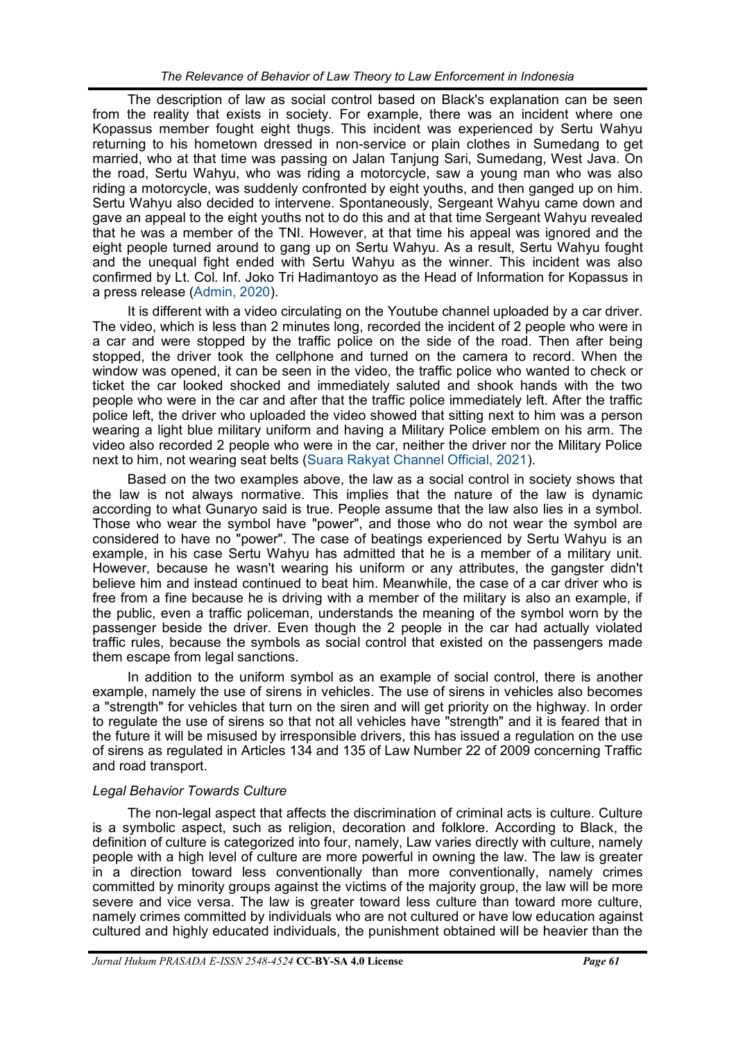The description of law as social control based on Black's explanation can be seen from the reality that exists in society. For example, there was an incident where one Kopassus member fought eight thugs. This incident was experienced by Sertu Wahyu returning to his hometown dressed in non-service or plain clothes in Sumedang to get married, who at that time was passing on Jalan Tanjung Sari, Sumedang, West Java. On the road, Sertu Wahyu, who was riding a motorcycle, saw a young man who was also riding a motorcycle, was suddenly confronted by eight youths, and then ganged up on him. Sertu Wahyu also decided to intervene. Spontaneously, Sergeant Wahyu came down and gave an appeal to the eight youths not to do this and at that time Sergeant Wahyu revealed that he was a member of the TNI. However, at that time his appeal was ignored and the eight people turned around to gang up on Sertu Wahyu. As a result, Sertu Wahyu fought and the unequal fight ended with Sertu Wahyu as the winner. This incident was also confirmed by Lt. Col. Inf. Joko Tri Hadimantoyo as the Head of Information for Kopassus in a press release ([Admin, 2020\)](#page-10-0).

It is different with a video circulating on the Youtube channel uploaded by a car driver. The video, which is less than 2 minutes long, recorded the incident of 2 people who were in a car and were stopped by the traffic police on the side of the road. Then after being stopped, the driver took the cellphone and turned on the camera to record. When the window was opened, it can be seen in the video, the traffic police who wanted to check or ticket the car looked shocked and immediately saluted and shook hands with the two people who were in the car and after that the traffic police immediately left. After the traffic police left, the driver who uploaded the video showed that sitting next to him was a person wearing a light blue military uniform and having a Military Police emblem on his arm. The video also recorded 2 people who were in the car, neither the driver nor the Military Police next to him, not wearing seat belts [\(Suara Rakyat Channel Official, 2021\)](#page-10-0).

Based on the two examples above, the law as a social control in society shows that the law is not always normative. This implies that the nature of the law is dynamic according to what Gunaryo said is true. People assume that the law also lies in a symbol. Those who wear the symbol have "power", and those who do not wear the symbol are considered to have no "power". The case of beatings experienced by Sertu Wahyu is an example, in his case Sertu Wahyu has admitted that he is a member of a military unit. However, because he wasn't wearing his uniform or any attributes, the gangster didn't believe him and instead continued to beat him. Meanwhile, the case of a car driver who is free from a fine because he is driving with a member of the military is also an example, if the public, even a traffic policeman, understands the meaning of the symbol worn by the passenger beside the driver. Even though the 2 people in the car had actually violated traffic rules, because the symbols as social control that existed on the passengers made them escape from legal sanctions.

In addition to the uniform symbol as an example of social control, there is another example, namely the use of sirens in vehicles. The use of sirens in vehicles also becomes a "strength" for vehicles that turn on the siren and will get priority on the highway. In order to regulate the use of sirens so that not all vehicles have "strength" and it is feared that in the future it will be misused by irresponsible drivers, this has issued a regulation on the use of sirens as regulated in Articles 134 and 135 of Law Number 22 of 2009 concerning Traffic and road transport.

# *Legal Behavior Towards Culture*

The non-legal aspect that affects the discrimination of criminal acts is culture. Culture is a symbolic aspect, such as religion, decoration and folklore. According to Black, the definition of culture is categorized into four, namely, Law varies directly with culture, namely people with a high level of culture are more powerful in owning the law. The law is greater in a direction toward less conventionally than more conventionally, namely crimes committed by minority groups against the victims of the majority group, the law will be more severe and vice versa. The law is greater toward less culture than toward more culture, namely crimes committed by individuals who are not cultured or have low education against cultured and highly educated individuals, the punishment obtained will be heavier than the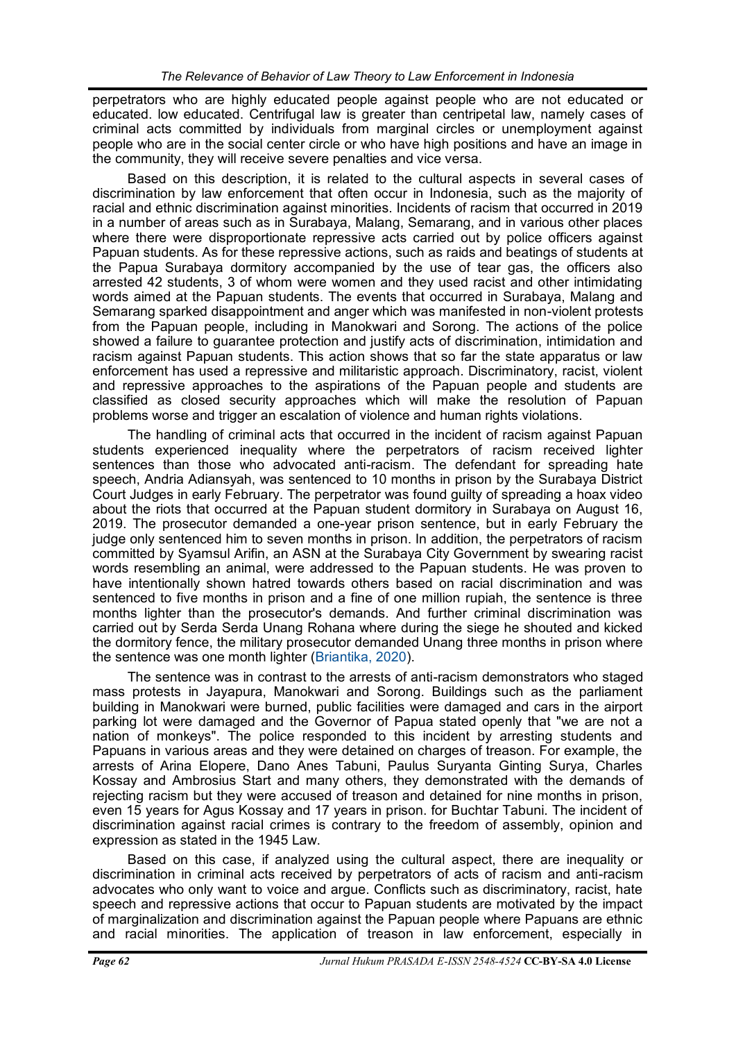perpetrators who are highly educated people against people who are not educated or educated. low educated. Centrifugal law is greater than centripetal law, namely cases of criminal acts committed by individuals from marginal circles or unemployment against people who are in the social center circle or who have high positions and have an image in the community, they will receive severe penalties and vice versa.

Based on this description, it is related to the cultural aspects in several cases of discrimination by law enforcement that often occur in Indonesia, such as the majority of racial and ethnic discrimination against minorities. Incidents of racism that occurred in 2019 in a number of areas such as in Surabaya, Malang, Semarang, and in various other places where there were disproportionate repressive acts carried out by police officers against Papuan students. As for these repressive actions, such as raids and beatings of students at the Papua Surabaya dormitory accompanied by the use of tear gas, the officers also arrested 42 students, 3 of whom were women and they used racist and other intimidating words aimed at the Papuan students. The events that occurred in Surabaya, Malang and Semarang sparked disappointment and anger which was manifested in non-violent protests from the Papuan people, including in Manokwari and Sorong. The actions of the police showed a failure to guarantee protection and justify acts of discrimination, intimidation and racism against Papuan students. This action shows that so far the state apparatus or law enforcement has used a repressive and militaristic approach. Discriminatory, racist, violent and repressive approaches to the aspirations of the Papuan people and students are classified as closed security approaches which will make the resolution of Papuan problems worse and trigger an escalation of violence and human rights violations.

The handling of criminal acts that occurred in the incident of racism against Papuan students experienced inequality where the perpetrators of racism received lighter sentences than those who advocated anti-racism. The defendant for spreading hate speech, Andria Adiansyah, was sentenced to 10 months in prison by the Surabaya District Court Judges in early February. The perpetrator was found guilty of spreading a hoax video about the riots that occurred at the Papuan student dormitory in Surabaya on August 16, 2019. The prosecutor demanded a one-year prison sentence, but in early February the judge only sentenced him to seven months in prison. In addition, the perpetrators of racism committed by Syamsul Arifin, an ASN at the Surabaya City Government by swearing racist words resembling an animal, were addressed to the Papuan students. He was proven to have intentionally shown hatred towards others based on racial discrimination and was sentenced to five months in prison and a fine of one million rupiah, the sentence is three months lighter than the prosecutor's demands. And further criminal discrimination was carried out by Serda Serda Unang Rohana where during the siege he shouted and kicked the dormitory fence, the military prosecutor demanded Unang three months in prison where the sentence was one month lighter ([Briantika, 2020\).](#page-10-0)

The sentence was in contrast to the arrests of anti-racism demonstrators who staged mass protests in Jayapura, Manokwari and Sorong. Buildings such as the parliament building in Manokwari were burned, public facilities were damaged and cars in the airport parking lot were damaged and the Governor of Papua stated openly that "we are not a nation of monkeys". The police responded to this incident by arresting students and Papuans in various areas and they were detained on charges of treason. For example, the arrests of Arina Elopere, Dano Anes Tabuni, Paulus Suryanta Ginting Surya, Charles Kossay and Ambrosius Start and many others, they demonstrated with the demands of rejecting racism but they were accused of treason and detained for nine months in prison, even 15 years for Agus Kossay and 17 years in prison. for Buchtar Tabuni. The incident of discrimination against racial crimes is contrary to the freedom of assembly, opinion and expression as stated in the 1945 Law.

Based on this case, if analyzed using the cultural aspect, there are inequality or discrimination in criminal acts received by perpetrators of acts of racism and anti-racism advocates who only want to voice and argue. Conflicts such as discriminatory, racist, hate speech and repressive actions that occur to Papuan students are motivated by the impact of marginalization and discrimination against the Papuan people where Papuans are ethnic and racial minorities. The application of treason in law enforcement, especially in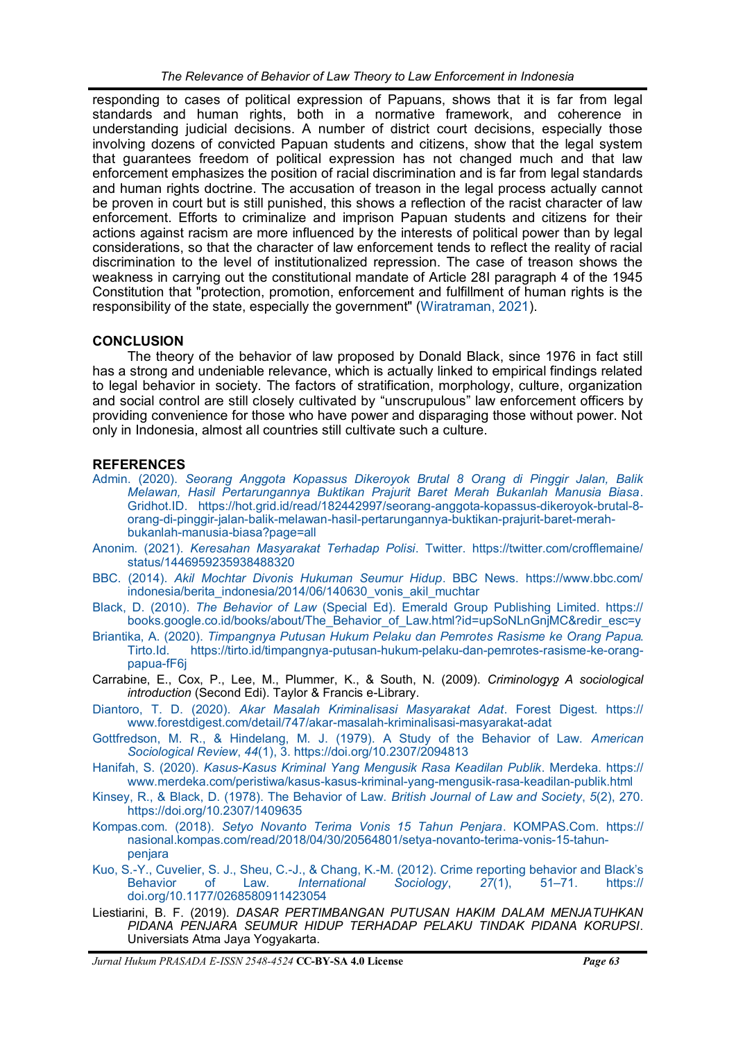<span id="page-10-0"></span>responding to cases of political expression of Papuans, shows that it is far from legal standards and human rights, both in a normative framework, and coherence in understanding judicial decisions. A number of district court decisions, especially those involving dozens of convicted Papuan students and citizens, show that the legal system that guarantees freedom of political expression has not changed much and that law enforcement emphasizes the position of racial discrimination and is far from legal standards and human rights doctrine. The accusation of treason in the legal process actually cannot be proven in court but is still punished, this shows a reflection of the racist character of law enforcement. Efforts to criminalize and imprison Papuan students and citizens for their actions against racism are more influenced by the interests of political power than by legal considerations, so that the character of law enforcement tends to reflect the reality of racial discrimination to the level of institutionalized repression. The case of treason shows the weakness in carrying out the constitutional mandate of Article 28I paragraph 4 of the 1945 Constitution that "protection, promotion, enforcement and fulfillment of human rights is the responsibility of the state, especially the government" [\(Wiratraman, 2021\).](#page-10-0)

## **CONCLUSION**

The theory of the behavior of law proposed by Donald Black, since 1976 in fact still has a strong and undeniable relevance, which is actually linked to empirical findings related to legal behavior in society. The factors of stratification, morphology, culture, organization and social control are still closely cultivated by "unscrupulous" law enforcement officers by providing convenience for those who have power and disparaging those without power. Not only in Indonesia, almost all countries still cultivate such a culture.

## **REFERENCES**

- Admin. (2020). *[Seorang Anggota Kopassus Dikeroyok Brutal 8 Orang di Pinggir Jalan, Balik](https://hot.grid.id/read/182442997/seorang-anggota-kopassus-dikeroyok-brutal-8-orang-di-pinggir-jalan-balik-melawan-hasil-pertarungannya-buktikan-prajurit-baret-merah-bukanlah-manusia-biasa?page=all)  [Melawan, Hasil Pertarungannya Buktikan Prajurit Baret Merah Bukanlah Manusia Biasa](https://hot.grid.id/read/182442997/seorang-anggota-kopassus-dikeroyok-brutal-8-orang-di-pinggir-jalan-balik-melawan-hasil-pertarungannya-buktikan-prajurit-baret-merah-bukanlah-manusia-biasa?page=all)*. [Gridhot.ID. https://hot.grid.id/read/182442997/seorang](https://hot.grid.id/read/182442997/seorang-anggota-kopassus-dikeroyok-brutal-8-orang-di-pinggir-jalan-balik-melawan-hasil-pertarungannya-buktikan-prajurit-baret-merah-bukanlah-manusia-biasa?page=all)-anggota-kopassus-dikeroyok-brutal-8 orang-di-pinggir-jalan-balik-melawan-hasil-[pertarungannya](https://hot.grid.id/read/182442997/seorang-anggota-kopassus-dikeroyok-brutal-8-orang-di-pinggir-jalan-balik-melawan-hasil-pertarungannya-buktikan-prajurit-baret-merah-bukanlah-manusia-biasa?page=all)-buktikan-prajurit-baret-merahbukanlah-manusia-[biasa?page=all](https://hot.grid.id/read/182442997/seorang-anggota-kopassus-dikeroyok-brutal-8-orang-di-pinggir-jalan-balik-melawan-hasil-pertarungannya-buktikan-prajurit-baret-merah-bukanlah-manusia-biasa?page=all)
- Anonim. (2021). *Keresahan Masyarakat Terhadap Polisi*[. Twitter. https://twitter.com/crofflemaine/](https://twitter.com/crofflemaine/status/1446959235938488320) [status/1446959235938488320](https://twitter.com/crofflemaine/status/1446959235938488320)
- BBC. (2014). *[Akil Mochtar Divonis Hukuman Seumur Hidup](https://www.bbc.com/indonesia/berita_indonesia/2014/06/140630_vonis_akil_muchtar)*. BBC News. https://www.bbc.com/ [indonesia/berita\\_indonesia/2014/06/140630\\_vonis\\_akil\\_muchtar](https://www.bbc.com/indonesia/berita_indonesia/2014/06/140630_vonis_akil_muchtar)
- Black, D. (2010). *The Behavior of Law* [\(Special Ed\). Emerald Group Publishing Limited. https://](https://books.google.co.id/books/about/The_Behavior_of_Law.html?id=upSoNLnGnjMC&redir_esc=y) [books.google.co.id/books/about/The\\_Behavior\\_of\\_Law.html?id=upSoNLnGnjMC&redir\\_esc=y](https://books.google.co.id/books/about/The_Behavior_of_Law.html?id=upSoNLnGnjMC&redir_esc=y)
- Briantika, A. (2020). *[Timpangnya Putusan Hukum Pelaku dan Pemrotes Rasisme ke Orang Papua](https://tirto.id/timpangnya-putusan-hukum-pelaku-dan-pemrotes-rasisme-ke-orang-papua-fF6j)*. https://tirto.id/timpangnya-putusan-hukum-pelaku-dan-pemrotes-rasisme-ke-orang[papua](https://tirto.id/timpangnya-putusan-hukum-pelaku-dan-pemrotes-rasisme-ke-orang-papua-fF6j)-fF6j
- Carrabine, E., Cox, P., Lee, M., Plummer, K., & South, N. (2009). *Criminology* A sociological *introduction* (Second Edi). Taylor & Francis e-Library.
- Diantoro, T. D. (2020). *[Akar Masalah Kriminalisasi Masyarakat Adat](https://www.forestdigest.com/detail/747/akar-masalah-kriminalisasi-masyarakat-adat)*. Forest Digest. https:// [www.forestdigest.com/detail/747/akar](https://www.forestdigest.com/detail/747/akar-masalah-kriminalisasi-masyarakat-adat)-masalah-kriminalisasi-masyarakat-adat
- [Gottfredson, M. R., & Hindelang, M. J. \(1979\). A Study of the Behavior of Law.](https://doi.org/10.2307/2094813) *American Sociological Review*, *44*[\(1\), 3. https://doi.org/10.2307/2094813](https://doi.org/10.2307/2094813)
- Hanifah, S. (2020). *Kasus-[Kasus Kriminal Yang Mengusik Rasa Keadilan Publik](https://www.merdeka.com/peristiwa/kasus-kasus-kriminal-yang-mengusik-rasa-keadilan-publik.html)*. Merdeka. https:// [www.merdeka.com/peristiwa/kasus](https://www.merdeka.com/peristiwa/kasus-kasus-kriminal-yang-mengusik-rasa-keadilan-publik.html)-kasus-kriminal-yang-mengusik-rasa-keadilan-publik.html
- [Kinsey, R., & Black, D. \(1978\). The Behavior of Law.](https://doi.org/10.2307/1409635) *British Journal of Law and Society*, *5*(2), 270. <https://doi.org/10.2307/1409635>
- Kompas.com. (2018). *[Setyo Novanto Terima Vonis 15 Tahun Penjara](https://nasional.kompas.com/read/2018/04/30/20564801/setya-novanto-terima-vonis-15-tahun-penjara)*. KOMPAS.Com. https:// [nasional.kompas.com/read/2018/04/30/20564801/setya](https://nasional.kompas.com/read/2018/04/30/20564801/setya-novanto-terima-vonis-15-tahun-penjara)-novanto-terima-vonis-15-tahun[penjara](https://nasional.kompas.com/read/2018/04/30/20564801/setya-novanto-terima-vonis-15-tahun-penjara)
- Kuo, S.-Y., Cuvelier, S. J., Sheu, C.-J., & Chang, K.-[M. \(2012\). Crime reporting behavior and Black](https://doi.org/10.1177/0268580911423054)'s<br>Behavior of Law. *International Sociology*, 27(1), 51–71. https:// Behavior of Law. *[International Sociology](https://doi.org/10.1177/0268580911423054)*, *27*(1), 51–71. https:// [doi.org/10.1177/0268580911423054](https://doi.org/10.1177/0268580911423054)
- Liestiarini, B. F. (2019). *DASAR PERTIMBANGAN PUTUSAN HAKIM DALAM MENJATUHKAN PIDANA PENJARA SEUMUR HIDUP TERHADAP PELAKU TINDAK PIDANA KORUPSI*. Universiats Atma Jaya Yogyakarta.

*Jurnal Hukum PRASADA E-ISSN 2548-4524* **CC-BY-SA 4.0 License** *Page 63*